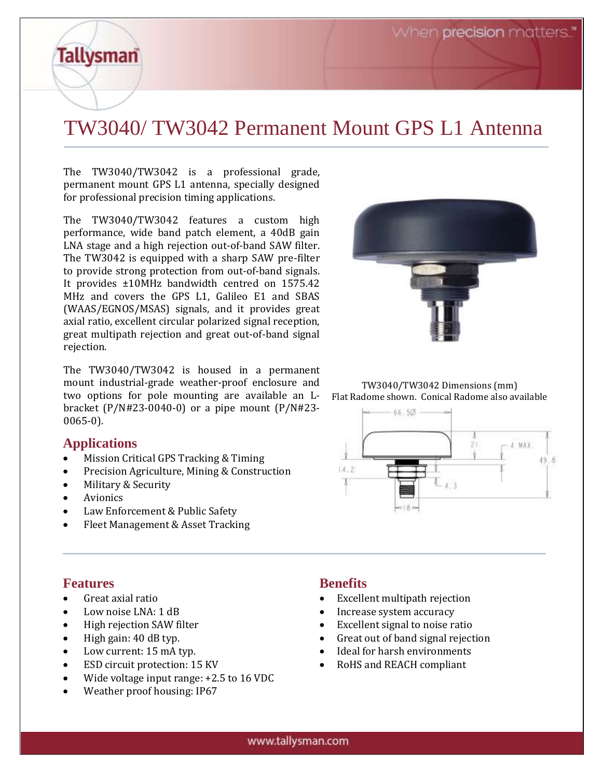When **precision** matters."

# TW3040/ TW3042 Permanent Mount GPS L1 Antenna

The TW3040/TW3042 is a professional grade, permanent mount GPS L1 antenna, specially designed for professional precision timing applications.

The TW3040/TW3042 features a custom high performance, wide band patch element, a 40dB gain LNA stage and a high rejection out-of-band SAW filter. The TW3042 is equipped with a sharp SAW pre-filter to provide strong protection from out-of-band signals. It provides ±10MHz bandwidth centred on 1575.42 MHz and covers the GPS L1, Galileo E1 and SBAS (WAAS/EGNOS/MSAS) signals, and it provides great axial ratio, excellent circular polarized signal reception, great multipath rejection and great out-of-band signal rejection.

The TW3040/TW3042 is housed in a permanent mount industrial-grade weather-proof enclosure and two options for pole mounting are available an Lbracket (P/N#23-0040-0) or a pipe mount (P/N#23- 0065-0).

### **Applications**

**Tallysman** 

- Mission Critical GPS Tracking & Timing
- Precision Agriculture, Mining & Construction
- Military & Security
- **Avionics**
- Law Enforcement & Public Safety
- Fleet Management & Asset Tracking



TW3040/TW3042 Dimensions (mm) Flat Radome shown. Conical Radome also available



### **Features**

- Great axial ratio
- Low noise LNA: 1 dB
- High rejection SAW filter
- High gain: 40 dB typ.
- Low current: 15 mA typ.
- ESD circuit protection: 15 KV
- Wide voltage input range: +2.5 to 16 VDC
- Weather proof housing: IP67

### **Benefits**

- Excellent multipath rejection
- Increase system accuracy
- Excellent signal to noise ratio
- Great out of band signal rejection
- Ideal for harsh environments
- RoHS and REACH compliant